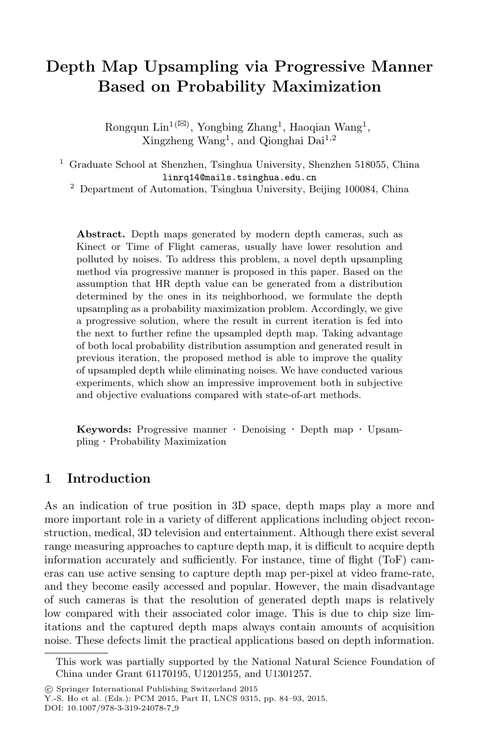# **Depth Map Upsampling via Progressive Manner Based on Probability Maximization**

Rongqun Lin<sup>1( $\boxtimes$ )</sup>, Yongbing Zhang<sup>1</sup>, Haoqian Wang<sup>1</sup>, Xingzheng Wang<sup>1</sup>, and Qionghai Dai<sup>1,2</sup>

<sup>1</sup> Graduate School at Shenzhen, Tsinghua University, Shenzhen 518055, China linrq14@mails.tsinghua.edu.cn

<sup>2</sup> Department of Automation, Tsinghua University, Beijing 100084, China

**Abstract.** Depth maps generated by modern depth cameras, such as Kinect or Time of Flight cameras, usually have lower resolution and polluted by noises. To address this problem, a novel depth upsampling method via progressive manner is proposed in this paper. Based on the assumption that HR depth value can be generated from a distribution determined by the ones in its neighborhood, we formulate the depth upsampling as a probability maximization problem. Accordingly, we give a progressive solution, where the result in current iteration is fed into the next to further refine the upsampled depth map. Taking advantage of both local probability distribution assumption and generated result in previous iteration, the proposed method is able to improve the quality of upsampled depth while eliminating noises. We have conducted various experiments, which show an impressive improvement both in subjective and objective evaluations compared with state-of-art methods.

**Keywords:** Progressive manner · Denoising · Depth map · Upsampling · Probability Maximization

#### **1 Introduction**

As an indication of true position in 3D space, depth maps play a more and more important role in a variety of different applications including object reconstruction, medical, 3D television and entertainment. Although there exist several range measuring approaches to capture depth map, it is difficult to acquire depth information accurately and sufficiently. For instance, time of flight (ToF) cameras can use active sensing to capture depth map per-pixel at video frame-rate, and they become easily accessed and popular. However, the main disadvantage of such cameras is that the resolution of generated depth maps is relatively low compared with their associated color image. This is due to chip size limitations and the captured depth maps always contain amounts of acquisition noise. These defects limit the practical applications based on depth information.

This work was partially supported by the National Natural Science Foundation of China under Grant 61170195, U1201255, and U1301257.

<sup>-</sup>c Springer International Publishing Switzerland 2015

Y.-S. Ho et al. (Eds.): PCM 2015, Part II, LNCS 9315, pp. 84–93, 2015.

DOI: 10.1007/978-3-319-24078-7<sub>-9</sub>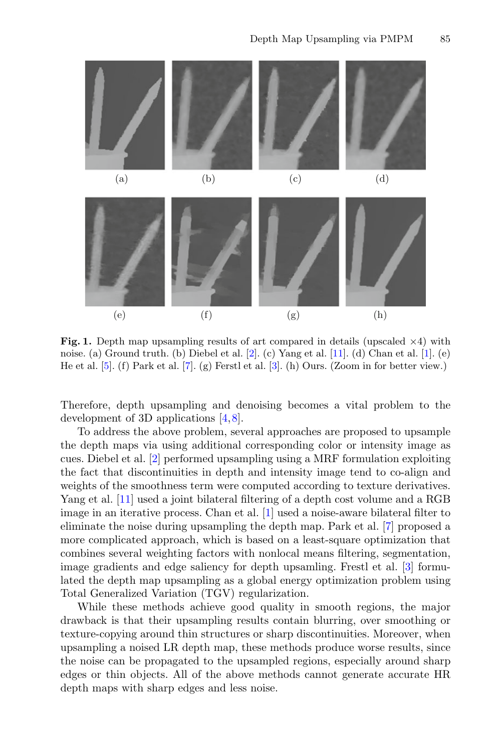

<span id="page-1-0"></span>**Fig. 1.** Depth map upsampling results of art compared in details (upscaled  $\times$ 4) with noise. (a) Ground truth. (b) Diebel et al. [\[2](#page-9-0)]. (c) Yang et al. [\[11](#page-9-1)]. (d) Chan et al. [\[1](#page-9-2)]. (e) He et al. [\[5\]](#page-9-3). (f) Park et al. [\[7\]](#page-9-4). (g) Ferstl et al. [\[3\]](#page-9-5). (h) Ours. (Zoom in for better view.)

Therefore, depth upsampling and denoising becomes a vital problem to the development of 3D applications [\[4,](#page-9-6)[8\]](#page-9-7).

To address the above problem, several approaches are proposed to upsample the depth maps via using additional corresponding color or intensity image as cues. Diebel et al. [\[2\]](#page-9-0) performed upsampling using a MRF formulation exploiting the fact that discontinuities in depth and intensity image tend to co-align and weights of the smoothness term were computed according to texture derivatives. Yang et al. [\[11\]](#page-9-1) used a joint bilateral filtering of a depth cost volume and a RGB image in an iterative process. Chan et al. [\[1](#page-9-2)] used a noise-aware bilateral filter to eliminate the noise during upsampling the depth map. Park et al. [\[7\]](#page-9-4) proposed a more complicated approach, which is based on a least-square optimization that combines several weighting factors with nonlocal means filtering, segmentation, image gradients and edge saliency for depth upsamling. Frestl et al. [\[3](#page-9-5)] formulated the depth map upsampling as a global energy optimization problem using Total Generalized Variation (TGV) regularization.

While these methods achieve good quality in smooth regions, the major drawback is that their upsampling results contain blurring, over smoothing or texture-copying around thin structures or sharp discontinuities. Moreover, when upsampling a noised LR depth map, these methods produce worse results, since the noise can be propagated to the upsampled regions, especially around sharp edges or thin objects. All of the above methods cannot generate accurate HR depth maps with sharp edges and less noise.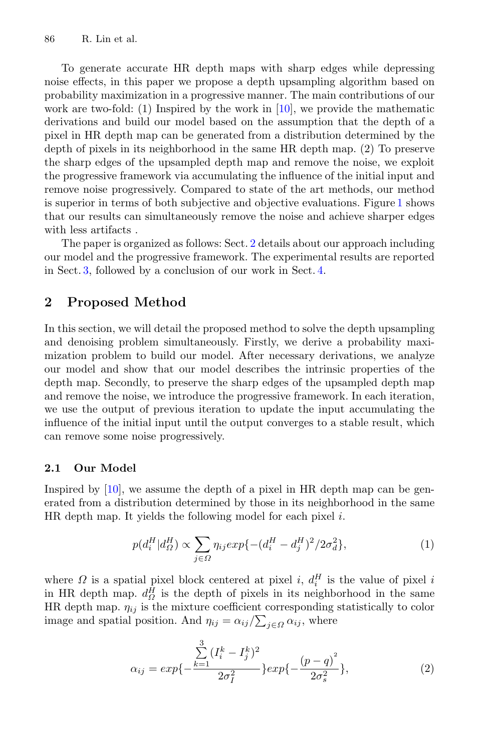To generate accurate HR depth maps with sharp edges while depressing noise effects, in this paper we propose a depth upsampling algorithm based on probability maximization in a progressive manner. The main contributions of our work are two-fold: (1) Inspired by the work in  $[10]$  $[10]$ , we provide the mathematic derivations and build our model based on the assumption that the depth of a pixel in HR depth map can be generated from a distribution determined by the depth of pixels in its neighborhood in the same HR depth map. (2) To preserve the sharp edges of the upsampled depth map and remove the noise, we exploit the progressive framework via accumulating the influence of the initial input and remove noise progressively. Compared to state of the art methods, our method is superior in terms of both subjective and objective evaluations. Figure [1](#page-1-0) shows that our results can simultaneously remove the noise and achieve sharper edges with less artifacts .

The paper is organized as follows: Sect. [2](#page-2-0) details about our approach including our model and the progressive framework. The experimental results are reported in Sect. [3,](#page-6-0) followed by a conclusion of our work in Sect. [4.](#page-9-9)

## <span id="page-2-0"></span>**2 Proposed Method**

In this section, we will detail the proposed method to solve the depth upsampling and denoising problem simultaneously. Firstly, we derive a probability maximization problem to build our model. After necessary derivations, we analyze our model and show that our model describes the intrinsic properties of the depth map. Secondly, to preserve the sharp edges of the upsampled depth map and remove the noise, we introduce the progressive framework. In each iteration, we use the output of previous iteration to update the input accumulating the influence of the initial input until the output converges to a stable result, which can remove some noise progressively.

#### **2.1 Our Model**

Inspired by [\[10\]](#page-9-8), we assume the depth of a pixel in HR depth map can be generated from a distribution determined by those in its neighborhood in the same HR depth map. It yields the following model for each pixel i.

$$
p(d_i^H | d_{\Omega}^H) \propto \sum_{j \in \Omega} \eta_{ij} exp\{-(d_i^H - d_j^H)^2 / 2\sigma_d^2\},\tag{1}
$$

where  $\Omega$  is a spatial pixel block centered at pixel i,  $d_i^H$  is the value of pixel i in HR depth map.  $d_{\Omega}^{\tilde{H}}$  is the depth of pixels in its neighborhood in the same HR depth map.  $\eta_{ij}$  is the mixture coefficient corresponding statistically to color image and spatial position. And  $\eta_{ij} = \alpha_{ij}/\sum_{j \in \Omega} \alpha_{ij}$ , where

$$
\alpha_{ij} = exp\{-\frac{\sum_{k=1}^{3} (I_i^k - I_j^k)^2}{2\sigma_I^2}\} exp\{-\frac{(p-q)^2}{2\sigma_s^2}\},\tag{2}
$$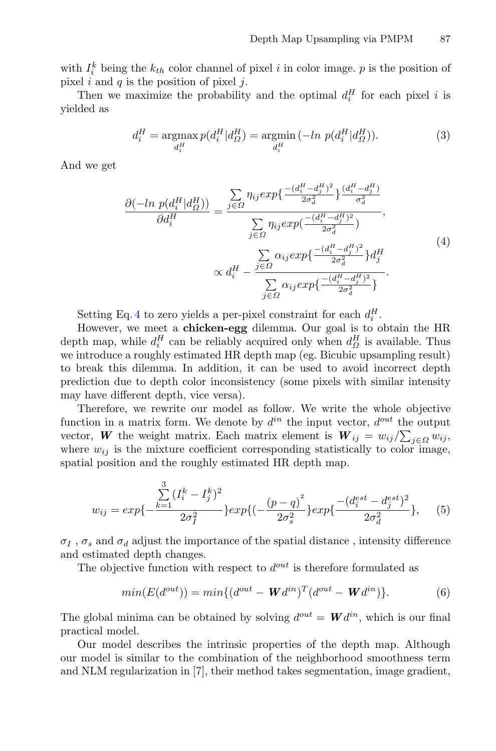with  $I_i^k$  being the  $k_{th}$  color channel of pixel i in color image. p is the position of pixel i and  $q$  is the position of pixel  $i$ .

Then we maximize the probability and the optimal  $d_i^H$  for each pixel i is yielded as

$$
d_i^H = \underset{d_i^H}{\text{argmax}} \, p(d_i^H | d_{\Omega}^H) = \underset{d_i^H}{\text{argmin}} \, (-\ln \, p(d_i^H | d_{\Omega}^H)). \tag{3}
$$

<span id="page-3-0"></span>And we get

$$
\frac{\partial(-\ln p(d_i^H | d_{\Omega}^H))}{\partial d_i^H} = \frac{\sum\limits_{j \in \Omega} \eta_{ij} exp\{\frac{-(d_i^H - d_j^H)^2}{2\sigma_d^2}\} \frac{(d_i^H - d_j^H)}{\sigma_d^2}}{\sum\limits_{j \in \Omega} \eta_{ij} exp\{\frac{-(d_i^H - d_j^H)^2}{2\sigma_d^2}\}}},
$$
\n
$$
\propto d_i^H - \frac{\sum\limits_{j \in \Omega} \alpha_{ij} exp\{\frac{-(d_i^H - d_j^H)^2}{2\sigma_d^2}\} d_j^H}{\sum\limits_{j \in \Omega} \alpha_{ij} exp\{\frac{-(d_i^H - d_j^H)^2}{2\sigma_d^2}\}}.
$$
\n(4)

Setting Eq. [4](#page-3-0) to zero yields a per-pixel constraint for each  $d_i^H$ .

However, we meet a **chicken-egg** dilemma. Our goal is to obtain the HR depth map, while  $d_i^H$  can be reliably acquired only when  $d_{\Omega}^H$  is available. Thus we introduce a roughly estimated HR depth map (eg. Bicubic upsampling result) to break this dilemma. In addition, it can be used to avoid incorrect depth prediction due to depth color inconsistency (some pixels with similar intensity may have different depth, vice versa).

Therefore, we rewrite our model as follow. We write the whole objective function in a matrix form. We denote by  $d^{in}$  the input vector,  $d^{out}$  the output vector, *W* the weight matrix. Each matrix element is  $W_{ij} = w_{ij}/\sum_{j \in \Omega} w_{ij}$ , where  $w_{ij}$  is the mixture coefficient corresponding statistically to color image, spatial position and the roughly estimated HR depth map.

$$
w_{ij} = exp\{-\frac{\sum_{k=1}^{3} (I_i^k - I_j^k)^2}{2\sigma_I^2}\} exp\{(-\frac{(p-q)^2}{2\sigma_s^2}\} exp\{\frac{-(d_i^{est} - d_j^{est})^2}{2\sigma_d^2}\}, \quad (5)
$$

 $\sigma_I$ ,  $\sigma_s$  and  $\sigma_d$  adjust the importance of the spatial distance, intensity difference and estimated depth changes.

The objective function with respect to  $d^{out}$  is therefore formulated as

$$
min(E(d^{out})) = min\{(d^{out} - \mathbf{W}d^{in})^T(d^{out} - \mathbf{W}d^{in})\}.
$$
 (6)

The global minima can be obtained by solving  $d^{out} = \mathbf{W} d^{in}$ , which is our final practical model.

Our model describes the intrinsic properties of the depth map. Although our model is similar to the combination of the neighborhood smoothness term and NLM regularization in [\[7\]](#page-9-4), their method takes segmentation, image gradient,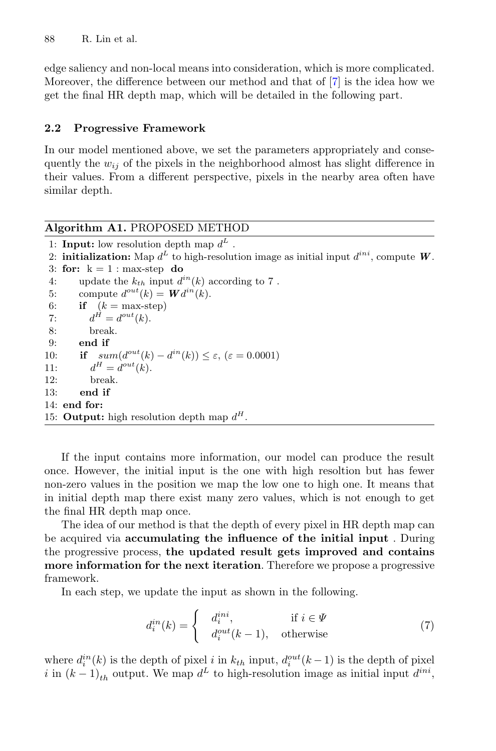edge saliency and non-local means into consideration, which is more complicated. Moreover, the difference between our method and that of [\[7](#page-9-4)] is the idea how we get the final HR depth map, which will be detailed in the following part.

#### **2.2 Progressive Framework**

In our model mentioned above, we set the parameters appropriately and consequently the  $w_{ij}$  of the pixels in the neighborhood almost has slight difference in their values. From a different perspective, pixels in the nearby area often have similar depth.

## **Algorithm A1.** PROPOSED METHOD 1: **Input:** low resolution depth map  $d^L$ . 2: **initialization:** Map  $d^L$  to high-resolution image as initial input  $d^{ini}$ , compute W. 3: **for:**  $k = 1$  : max-step **do** 4: update the  $k_{th}$  input  $d^{in}(k)$  according to 7. 5: compute  $d^{out}(k) = \mathbf{W}d^{in}(k)$ . 6: **if**  $(k = \text{max-step})$ 7:  $d^{\vec{H}} = d^{out}(k)$ . 8: break. 9: **end if** 10: **if**  $sum(d^{out}(k) - d^{in}(k)) \le \varepsilon$ ,  $(\varepsilon = 0.0001)$ <br>11:  $d^H = d^{out}(k)$ .  $d^H = d^{out}(k)$ . 12: break. 13: **end if** 14: **end for:** 15: **Output:** high resolution depth map  $d^H$ .

If the input contains more information, our model can produce the result once. However, the initial input is the one with high resoltion but has fewer non-zero values in the position we map the low one to high one. It means that in initial depth map there exist many zero values, which is not enough to get the final HR depth map once.

The idea of our method is that the depth of every pixel in HR depth map can be acquired via **accumulating the influence of the initial input** . During the progressive process, **the updated result gets improved and contains more information for the next iteration**. Therefore we propose a progressive framework.

In each step, we update the input as shown in the following.

$$
d_i^{in}(k) = \begin{cases} d_i^{ini}, & \text{if } i \in \Psi \\ d_i^{out}(k-1), & \text{otherwise} \end{cases}
$$
 (7)

where  $d_i^{in}(k)$  is the depth of pixel i in  $k_{th}$  input,  $d_i^{out}(k-1)$  is the depth of pixel i in  $(k-1)_{th}$  output. We map  $d^L$  to high-resolution image as initial input  $d^{ini}$ ,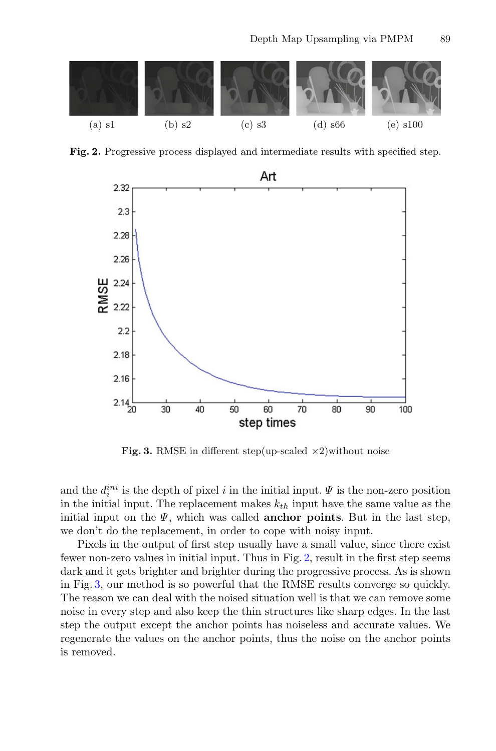

**Fig. 2.** Progressive process displayed and intermediate results with specified step.

<span id="page-5-0"></span>

<span id="page-5-1"></span>**Fig. 3.** RMSE in different step(up-scaled  $\times 2$ )without noise

and the  $d_i^{ini}$  is the depth of pixel i in the initial input.  $\Psi$  is the non-zero position in the initial input. The replacement makes  $k_{th}$  input have the same value as the initial input on the  $\Psi$ , which was called **anchor points**. But in the last step, we don't do the replacement, in order to cope with noisy input.

Pixels in the output of first step usually have a small value, since there exist fewer non-zero values in initial input. Thus in Fig. [2,](#page-5-0) result in the first step seems dark and it gets brighter and brighter during the progressive process. As is shown in Fig. [3,](#page-5-1) our method is so powerful that the RMSE results converge so quickly. The reason we can deal with the noised situation well is that we can remove some noise in every step and also keep the thin structures like sharp edges. In the last step the output except the anchor points has noiseless and accurate values. We regenerate the values on the anchor points, thus the noise on the anchor points is removed.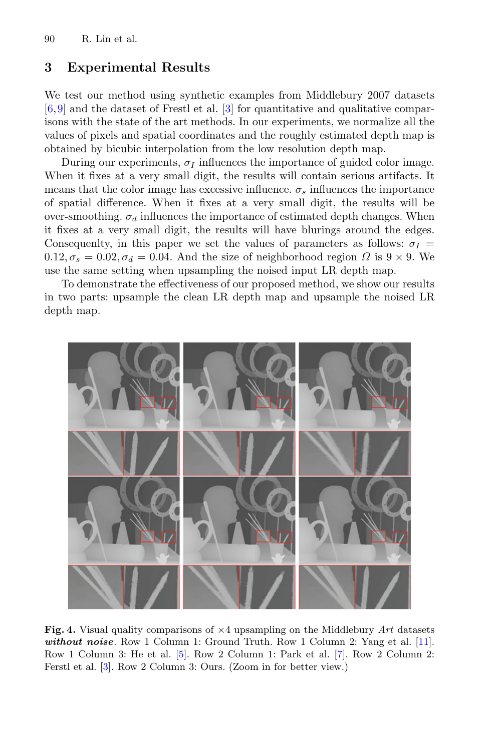### <span id="page-6-0"></span>**3 Experimental Results**

We test our method using synthetic examples from Middlebury 2007 datasets [\[6](#page-9-10),[9\]](#page-9-11) and the dataset of Frestl et al. [\[3](#page-9-5)] for quantitative and qualitative comparisons with the state of the art methods. In our experiments, we normalize all the values of pixels and spatial coordinates and the roughly estimated depth map is obtained by bicubic interpolation from the low resolution depth map.

During our experiments,  $\sigma_I$  influences the importance of guided color image. When it fixes at a very small digit, the results will contain serious artifacts. It means that the color image has excessive influence.  $\sigma_s$  influences the importance of spatial difference. When it fixes at a very small digit, the results will be over-smoothing.  $\sigma_d$  influences the importance of estimated depth changes. When it fixes at a very small digit, the results will have blurings around the edges. Consequenlty, in this paper we set the values of parameters as follows:  $\sigma_I$  =  $0.12, \sigma_s = 0.02, \sigma_d = 0.04$ . And the size of neighborhood region  $\Omega$  is  $9 \times 9$ . We use the same setting when upsampling the noised input LR depth map.

To demonstrate the effectiveness of our proposed method, we show our results in two parts: upsample the clean LR depth map and upsample the noised LR depth map.



<span id="page-6-1"></span>**Fig. 4.** Visual quality comparisons of ×4 upsampling on the Middlebury *Art* datasets *without noise*. Row 1 Column 1: Ground Truth. Row 1 Column 2: Yang et al. [\[11](#page-9-1)]. Row 1 Column 3: He et al. [\[5\]](#page-9-3). Row 2 Column 1: Park et al. [\[7\]](#page-9-4). Row 2 Column 2: Ferstl et al. [\[3\]](#page-9-5). Row 2 Column 3: Ours. (Zoom in for better view.)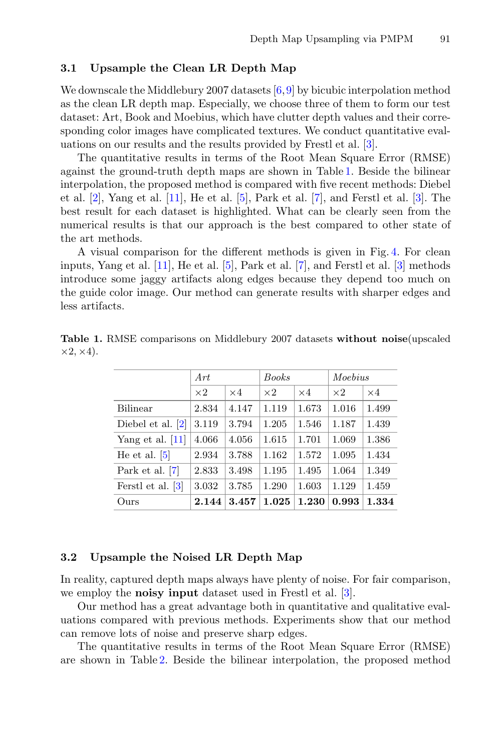#### **3.1 Upsample the Clean LR Depth Map**

We downscale the Middlebury 2007 datasets [\[6,](#page-9-10)[9\]](#page-9-11) by bicubic interpolation method as the clean LR depth map. Especially, we choose three of them to form our test dataset: Art, Book and Moebius, which have clutter depth values and their corresponding color images have complicated textures. We conduct quantitative evaluations on our results and the results provided by Frestl et al. [\[3\]](#page-9-5).

The quantitative results in terms of the Root Mean Square Error (RMSE) against the ground-truth depth maps are shown in Table [1.](#page-7-0) Beside the bilinear interpolation, the proposed method is compared with five recent methods: Diebel et al.  $[2]$ , Yang et al.  $[11]$ , He et al.  $[5]$  $[5]$ , Park et al.  $[7]$ , and Ferstl et al.  $[3]$  $[3]$ . The best result for each dataset is highlighted. What can be clearly seen from the numerical results is that our approach is the best compared to other state of the art methods.

A visual comparison for the different methods is given in Fig. [4.](#page-6-1) For clean inputs, Yang et al. [\[11](#page-9-1)], He et al. [\[5\]](#page-9-3), Park et al. [\[7](#page-9-4)], and Ferstl et al. [\[3\]](#page-9-5) methods introduce some jaggy artifacts along edges because they depend too much on the guide color image. Our method can generate results with sharper edges and less artifacts.

|                    | Art        |            | <b>Books</b> |            | Moebius    |            |
|--------------------|------------|------------|--------------|------------|------------|------------|
|                    | $\times 2$ | $\times 4$ | $\times 2$   | $\times 4$ | $\times 2$ | $\times 4$ |
| <b>Bilinear</b>    | 2.834      | 4.147      | 1.119        | 1.673      | 1.016      | 1.499      |
| Diebel et al. [2]  | 3.119      | 3.794      | 1.205        | 1.546      | 1.187      | 1.439      |
| Yang et al. $[11]$ | 4.066      | 4.056      | 1.615        | 1.701      | 1.069      | 1.386      |
| He et al. $[5]$    | 2.934      | 3.788      | 1.162        | 1.572      | 1.095      | 1.434      |
| Park et al. $ 7 $  | 2.833      | 3.498      | 1.195        | 1.495      | 1.064      | 1.349      |
| Ferstl et al. [3]  | 3.032      | 3.785      | 1.290        | 1.603      | 1.129      | 1.459      |
| Ours               | 2.144      | 3.457      | 1.025        | 1.230      | 0.993      | 1.334      |

<span id="page-7-0"></span>**Table 1.** RMSE comparisons on Middlebury 2007 datasets **without noise**(upscaled  $\times 2, \times 4$ .

#### **3.2 Upsample the Noised LR Depth Map**

In reality, captured depth maps always have plenty of noise. For fair comparison, we employ the **noisy input** dataset used in Frestl et al. [\[3\]](#page-9-5).

Our method has a great advantage both in quantitative and qualitative evaluations compared with previous methods. Experiments show that our method can remove lots of noise and preserve sharp edges.

The quantitative results in terms of the Root Mean Square Error (RMSE) are shown in Table [2.](#page-8-0) Beside the bilinear interpolation, the proposed method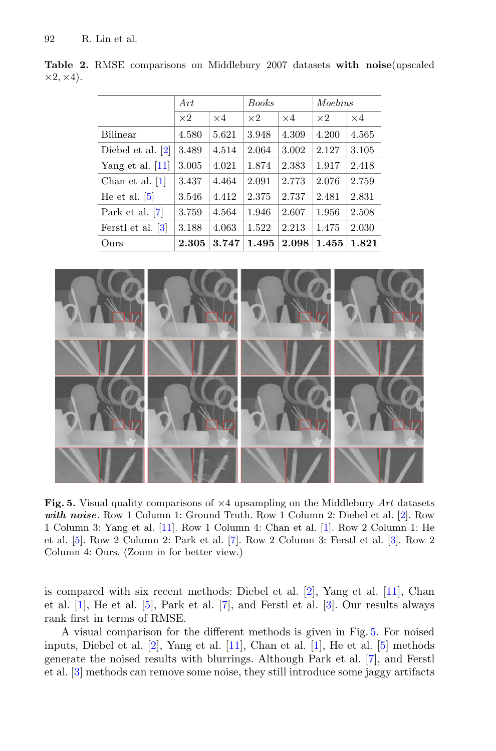|                     | Art        |            | <b>Books</b> |            | Moebius    |            |
|---------------------|------------|------------|--------------|------------|------------|------------|
|                     | $\times 2$ | $\times 4$ | $\times 2$   | $\times 4$ | $\times 2$ | $\times 4$ |
| <b>Bilinear</b>     | 4.580      | 5.621      | 3.948        | 4.309      | 4.200      | 4.565      |
| Diebel et al. $ 2 $ | 3.489      | 4.514      | 2.064        | 3.002      | 2.127      | 3.105      |
| Yang et al. $[11]$  | 3.005      | 4.021      | 1.874        | 2.383      | 1.917      | 2.418      |
| Chan et al. $ 1 $   | 3.437      | 4.464      | 2.091        | 2.773      | 2.076      | 2.759      |
| He et al. $[5]$     | 3.546      | 4.412      | 2.375        | 2.737      | 2.481      | 2.831      |
| Park et al. [7]     | 3.759      | 4.564      | 1.946        | 2.607      | 1.956      | 2.508      |
| Ferstl et al. [3]   | 3.188      | 4.063      | 1.522        | 2.213      | 1.475      | 2.030      |
| Ours                | 2.305      | 3.747      | 1.495        | 2.098      | 1.455      | 1.821      |

<span id="page-8-0"></span>**Table 2.** RMSE comparisons on Middlebury 2007 datasets **with noise**(upscaled  $\times 2, \times 4$ ).



<span id="page-8-1"></span>**Fig. 5.** Visual quality comparisons of ×4 upsampling on the Middlebury *Art* datasets *with noise*. Row 1 Column 1: Ground Truth. Row 1 Column 2: Diebel et al. [\[2](#page-9-0)]. Row 1 Column 3: Yang et al. [\[11](#page-9-1)]. Row 1 Column 4: Chan et al. [\[1](#page-9-2)]. Row 2 Column 1: He et al. [\[5\]](#page-9-3). Row 2 Column 2: Park et al. [\[7](#page-9-4)]. Row 2 Column 3: Ferstl et al. [\[3\]](#page-9-5). Row 2 Column 4: Ours. (Zoom in for better view.)

is compared with six recent methods: Diebel et al. [\[2\]](#page-9-0), Yang et al. [\[11](#page-9-1)], Chan et al. [\[1\]](#page-9-2), He et al. [\[5](#page-9-3)], Park et al. [\[7\]](#page-9-4), and Ferstl et al. [\[3\]](#page-9-5). Our results always rank first in terms of RMSE.

A visual comparison for the different methods is given in Fig. [5.](#page-8-1) For noised inputs, Diebel et al.  $[2]$ , Yang et al.  $[11]$ , Chan et al.  $[1]$ , He et al.  $[5]$  methods generate the noised results with blurrings. Although Park et al. [\[7\]](#page-9-4), and Ferstl et al. [\[3\]](#page-9-5) methods can remove some noise, they still introduce some jaggy artifacts